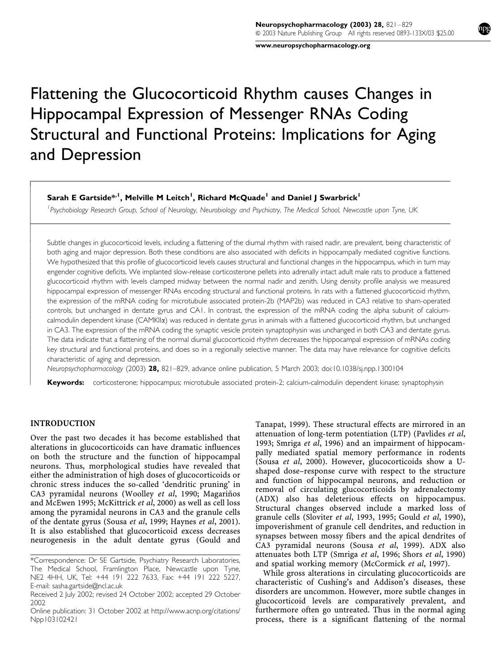www.neuropsychopharmacology.org

# Flattening the Glucocorticoid Rhythm causes Changes in Hippocampal Expression of Messenger RNAs Coding Structural and Functional Proteins: Implications for Aging and Depression

Sarah E Gartside\*<sup>, I</sup>, Melville M Leitch<sup>1</sup>, Richard McQuade<sup>1</sup> and Daniel J Swarbrick<sup>1</sup>

<sup>1</sup> Psychobiology Research Group, School of Neurology, Neurobiology and Psychiatry, The Medical School, Newcastle upon Tyne, UK

Subtle changes in glucocorticoid levels, including a flattening of the diurnal rhythm with raised nadir, are prevalent, being characteristic of both aging and major depression. Both these conditions are also associated with deficits in hippocampally mediated cognitive functions. We hypothesized that this profile of glucocorticoid levels causes structural and functional changes in the hippocampus, which in turn may engender cognitive deficits. We implanted slow-release corticosterone pellets into adrenally intact adult male rats to produce a flattened glucocorticoid rhythm with levels clamped midway between the normal nadir and zenith. Using density profile analysis we measured hippocampal expression of messenger RNAs encoding structural and functional proteins. In rats with a flattened glucocorticoid rhythm, the expression of the mRNA coding for microtubule associated protein-2b (MAP2b) was reduced in CA3 relative to sham-operated controls, but unchanged in dentate gyrus and CA1. In contrast, the expression of the mRNA coding the alpha subunit of calciumcalmodulin dependent kinase (CAMKIIa) was reduced in dentate gyrus in animals with a flattened glucocorticoid rhythm, but unchanged in CA3. The expression of the mRNA coding the synaptic vesicle protein synaptophysin was unchanged in both CA3 and dentate gyrus. The data indicate that a flattening of the normal diurnal glucocorticoid rhythm decreases the hippocampal expression of mRNAs coding key structural and functional proteins, and does so in a regionally selective manner. The data may have relevance for cognitive deficits characteristic of aging and depression.

Neuropsychopharmacology (2003) 28, 821–829, advance online publication, 5 March 2003; doi:10.1038/sj.npp.1300104

Keywords: corticosterone; hippocampus; microtubule associated protein-2; calcium-calmodulin dependent kinase; synaptophysin

# INTRODUCTION

 $\overline{1}$  $\overline{\phantom{a}}$  $\overline{\phantom{a}}$  $\bigg\}$  $\bigg\}$  $\overline{\phantom{a}}$  $\overline{\phantom{a}}$  $\overline{\phantom{a}}$  $\overline{\phantom{a}}$ ŀ Ī  $\overline{\phantom{a}}$  $\overline{\phantom{a}}$  $\overline{\phantom{a}}$  $\bigg\}$  $\bigg\}$  $\overline{\phantom{a}}$  $\overline{\phantom{a}}$  $\overline{\phantom{a}}$  $\overline{\phantom{a}}$  $\bigg\}$  $\bigg\}$  $\overline{\phantom{a}}$  $\overline{\phantom{a}}$  $\overline{\phantom{a}}$  $\bigg\}$  $\bigg\}$  $\bigg\}$  $\overline{\phantom{a}}$  $\overline{\phantom{a}}$  $\overline{\phantom{a}}$  $\bigg\}$  $\bigg\}$  $\overline{\phantom{a}}$  $\overline{\phantom{a}}$  $\overline{\phantom{a}}$  $\overline{\phantom{a}}$  $\bigg\}$  $\bigg\}$  $\overline{\phantom{a}}$  $\overline{\phantom{a}}$  $\overline{\phantom{a}}$  $\bigg\}$  $\bigg\}$  $\overline{\phantom{a}}$ 

Over the past two decades it has become established that alterations in glucocorticoids can have dramatic influences on both the structure and the function of hippocampal neurons. Thus, morphological studies have revealed that either the administration of high doses of glucocorticoids or chronic stress induces the so-called 'dendritic pruning' in CA3 pyramidal neurons (Woolley et al, 1990; Magariños and McEwen 1995; McKittrick et al, 2000) as well as cell loss among the pyramidal neurons in CA3 and the granule cells of the dentate gyrus (Sousa et al, 1999; Haynes et al, 2001). It is also established that glucocorticoid excess decreases neurogenesis in the adult dentate gyrus (Gould and Tanapat, 1999). These structural effects are mirrored in an attenuation of long-term potentiation (LTP) (Pavlides et al, 1993; Smriga et al, 1996) and an impairment of hippocampally mediated spatial memory performance in rodents (Sousa et al, 2000). However, glucocorticoids show a Ushaped dose–response curve with respect to the structure and function of hippocampal neurons, and reduction or removal of circulating glucocorticoids by adrenalectomy (ADX) also has deleterious effects on hippocampus. Structural changes observed include a marked loss of granule cells (Sloviter et al, 1993, 1995; Gould et al, 1990), impoverishment of granule cell dendrites, and reduction in synapses between mossy fibers and the apical dendrites of CA3 pyramidal neurons (Sousa et al, 1999). ADX also attenuates both LTP (Smriga et al, 1996; Shors et al, 1990) and spatial working memory (McCormick et al, 1997).

While gross alterations in circulating glucocorticoids are characteristic of Cushing's and Addison's diseases, these disorders are uncommon. However, more subtle changes in glucocorticoid levels are comparatively prevalent, and furthermore often go untreated. Thus in the normal aging process, there is a significant flattening of the normal

<sup>\*</sup>Correspondence: Dr SE Gartside, Psychiatry Research Laboratories, The Medical School, Framlington Place, Newcastle upon Tyne, NE2 4HH, UK, Tel: +44 191 222 7633, Fax: +44 191 222 5227, E-mail: sasha.gartside@ncl.ac.uk

Received 2 July 2002; revised 24 October 2002; accepted 29 October 2002

Online publication: 31 October 2002 at http://www.acnp.org/citations/ Npp103102421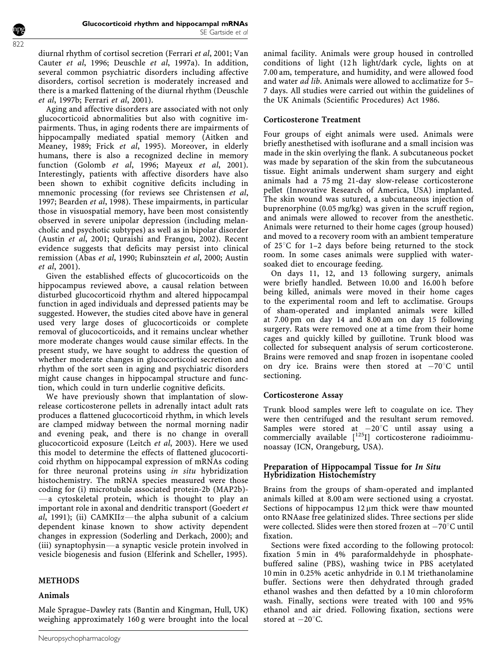diurnal rhythm of cortisol secretion (Ferrari et al, 2001; Van Cauter et al, 1996; Deuschle et al, 1997a). In addition, several common psychiatric disorders including affective disorders, cortisol secretion is moderately increased and there is a marked flattening of the diurnal rhythm (Deuschle et al, 1997b; Ferrari et al, 2001).

Aging and affective disorders are associated with not only glucocorticoid abnormalities but also with cognitive impairments. Thus, in aging rodents there are impairments of hippocampally mediated spatial memory (Aitken and Meaney, 1989; Frick et al, 1995). Moreover, in elderly humans, there is also a recognized decline in memory function (Golomb et al, 1996; Mayeux et al, 2001). Interestingly, patients with affective disorders have also been shown to exhibit cognitive deficits including in mnemonic processing (for reviews see Christensen et al, 1997; Bearden et al, 1998). These impairments, in particular those in visuospatial memory, have been most consistently observed in severe unipolar depression (including melancholic and psychotic subtypes) as well as in bipolar disorder (Austin et al, 2001; Quraishi and Frangou, 2002). Recent evidence suggests that deficits may persist into clinical remission (Abas et al, 1990; Rubinsztein et al, 2000; Austin et al, 2001).

Given the established effects of glucocorticoids on the hippocampus reviewed above, a causal relation between disturbed glucocorticoid rhythm and altered hippocampal function in aged individuals and depressed patients may be suggested. However, the studies cited above have in general used very large doses of glucocorticoids or complete removal of glucocorticoids, and it remains unclear whether more moderate changes would cause similar effects. In the present study, we have sought to address the question of whether moderate changes in glucocorticoid secretion and rhythm of the sort seen in aging and psychiatric disorders might cause changes in hippocampal structure and function, which could in turn underlie cognitive deficits.

We have previously shown that implantation of slowrelease corticosterone pellets in adrenally intact adult rats produces a flattened glucocorticoid rhythm, in which levels are clamped midway between the normal morning nadir and evening peak, and there is no change in overall glucocorticoid exposure (Leitch et al, 2003). Here we used this model to determine the effects of flattened glucocorticoid rhythm on hippocampal expression of mRNAs coding for three neuronal proteins using in situ hybridization histochemistry. The mRNA species measured were those coding for (i) microtubule associated protein-2b (MAP2b)-  $-a$  cytoskeletal protein, which is thought to play an important role in axonal and dendritic transport (Goedert et al, 1991); (ii) CAMKII $\alpha$ —the alpha subunit of a calcium dependent kinase known to show activity dependent changes in expression (Soderling and Derkach, 2000); and  $(iii)$  synaptophysin—a synaptic vesicle protein involved in vesicle biogenesis and fusion (Elferink and Scheller, 1995).

# METHODS

# Animals

Male Sprague–Dawley rats (Bantin and Kingman, Hull, UK) weighing approximately 160 g were brought into the local animal facility. Animals were group housed in controlled conditions of light (12 h light/dark cycle, lights on at 7.00 am, temperature, and humidity, and were allowed food and water  $a\bar{d}$  lib. Animals were allowed to acclimatize for 5-7 days. All studies were carried out within the guidelines of the UK Animals (Scientific Procedures) Act 1986.

### Corticosterone Treatment

Four groups of eight animals were used. Animals were briefly anesthetised with isoflurane and a small incision was made in the skin overlying the flank. A subcutaneous pocket was made by separation of the skin from the subcutaneous tissue. Eight animals underwent sham surgery and eight animals had a 75 mg 21-day slow-release corticosterone pellet (Innovative Research of America, USA) implanted. The skin wound was sutured, a subcutaneous injection of buprenorphine (0.05 mg/kg) was given in the scruff region, and animals were allowed to recover from the anesthetic. Animals were returned to their home cages (group housed) and moved to a recovery room with an ambient temperature of  $25^{\circ}$ C for 1–2 days before being returned to the stock room. In some cases animals were supplied with watersoaked diet to encourage feeding.

On days 11, 12, and 13 following surgery, animals were briefly handled. Between 10.00 and 16.00 h before being killed, animals were moved in their home cages to the experimental room and left to acclimatise. Groups of sham-operated and implanted animals were killed at 7.00 pm on day 14 and 8.00 am on day 15 following surgery. Rats were removed one at a time from their home cages and quickly killed by guillotine. Trunk blood was collected for subsequent analysis of serum corticosterone. Brains were removed and snap frozen in isopentane cooled on dry ice. Brains were then stored at  $-70^{\circ}$ C until sectioning.

# Corticosterone Assay

Trunk blood samples were left to coagulate on ice. They were then centrifuged and the resultant serum removed. Samples were stored at  $-20^{\circ}$ C until assay using a commercially available  $[$ <sup>125</sup>I] corticosterone radioimmunoassay (ICN, Orangeburg, USA).

# Preparation of Hippocampal Tissue for In Situ Hybridization Histochemistry

Brains from the groups of sham-operated and implanted animals killed at 8.00 am were sectioned using a cryostat. Sections of hippocampus  $12 \mu m$  thick were thaw mounted onto RNAase free gelatinized slides. Three sections per slide were collected. Slides were then stored frozen at  $-70^{\circ}$ C until fixation.

Sections were fixed according to the following protocol: fixation 5 min in 4% paraformaldehyde in phosphatebuffered saline (PBS), washing twice in PBS acetylated 10 min in 0.25% acetic anhydride in 0.1 M triethanolamine buffer. Sections were then dehydrated through graded ethanol washes and then defatted by a 10 min chloroform wash. Finally, sections were treated with 100 and 95% ethanol and air dried. Following fixation, sections were stored at  $-20^{\circ}$ C.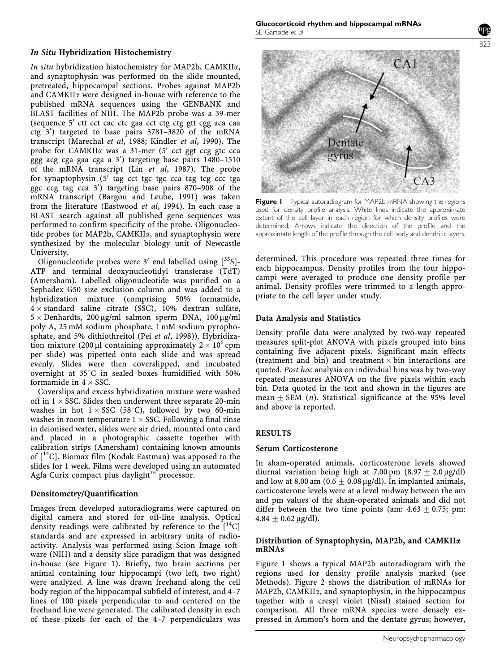# In Situ Hybridization Histochemistry

In situ hybridization histochemistry for MAP2b, CAMKIIa, and synaptophysin was performed on the slide mounted, pretreated, hippocampal sections. Probes against MAP2b and CAMKII<sub>a</sub> were designed in-house with reference to the published mRNA sequences using the GENBANK and BLAST facilities of NIH. The MAP2b probe was a 39-mer (sequence  $5'$  ctt cct cac ctc gaa cct ctg ctg gtt cgg aca caa ctg<sup>3</sup>') targeted to base pairs 3781-3820 of the mRNA transcript (Marechal et al, 1988; Kindler et al, 1990). The probe for CAMKII $\alpha$  was a 31-mer (5' cct ggt ccg gtc cca ggg acg cga gaa cga a 3') targeting base pairs 1480-1510 of the mRNA transcript (Lin et al, 1987). The probe for synaptophysin  $(5'$  tag cct tgc tgc cca tag tcg ccc tga ggc ccg tag cca 3') targeting base pairs 870-908 of the mRNA transcript (Bargou and Leube, 1991) was taken from the literature (Eastwood et al, 1994). In each case a BLAST search against all published gene sequences was performed to confirm specificity of the probe. Oligonucleotide probes for MAP2b, CAMKIIa, and synaptophysin were synthesized by the molecular biology unit of Newcastle University.

Oligonucleotide probes were  $3'$  end labelled using  $[^{35}S]$ -ATP and terminal deoxynucleotidyl transferase (TdT) (Amersham). Labelled oligonucleotide was purified on a Sephadex G50 size exclusion column and was added to a hybridization mixture (comprising 50% formamide,  $4 \times$  standard saline citrate (SSC), 10% dextran sulfate,  $5 \times$  Denhardts, 200 µg/ml salmon sperm DNA, 100 µg/ml poly A, 25 mM sodium phosphate, 1 mM sodium pyrophosphate, and 5% dithiothreitol (Pei et al, 1998)). Hybridization mixture (200  $\mu$ l containing approximately 2  $\times$  10<sup>6</sup> cpm per slide) was pipetted onto each slide and was spread evenly. Slides were then coverslipped, and incubated overnight at  $35^{\circ}$ C in sealed boxes humidified with 50% formamide in  $4 \times$  SSC.

Coverslips and excess hybridization mixture were washed off in  $1 \times$  SSC. Slides then underwent three separate 20-min washes in hot  $1 \times SSC$  (58°C), followed by two 60-min washes in room temperature  $1 \times SSC$ . Following a final rinse in deionised water, slides were air dried, mounted onto card and placed in a photographic cassette together with calibration strips (Amersham) containing known amounts of  $[{}^{14}C]$ . Biomax film (Kodak Eastman) was apposed to the slides for 1 week. Films were developed using an automated Agfa Curix compact plus daylight $\mathbb{M}$  processor.

#### Densitometry/Quantification

Images from developed autoradiograms were captured on digital camera and stored for off-line analysis. Optical density readings were calibrated by reference to the  $[14C]$ standards and are expressed in arbitrary units of radioactivity. Analysis was performed using Scion Image software (NIH) and a density slice paradigm that was designed in-house (see Figure 1). Briefly, two brain sections per animal containing four hippocampi (two left, two right) were analyzed. A line was drawn freehand along the cell body region of the hippocampal subfield of interest, and 4–7 lines of 100 pixels perpendicular to and centered on the freehand line were generated. The calibrated density in each of these pixels for each of the 4–7 perpendiculars was



**Figure I** Typical autoradiogram for MAP2b mRNA showing the regions used for density profile analysis. White lines indicate the approximate extent of the cell layer in each region for which density profiles were determined. Arrows indicate the direction of the profile and the approximate length of the profile through the cell body and dendritic layers.

determined. This procedure was repeated three times for each hippocampus. Density profiles from the four hippocampi were averaged to produce one density profile per animal. Density profiles were trimmed to a length appropriate to the cell layer under study.

# Data Analysis and Statistics

Density profile data were analyzed by two-way repeated measures split-plot ANOVA with pixels grouped into bins containing five adjacent pixels. Significant main effects (treatment and bin) and treatment  $\times$  bin interactions are quoted. Post hoc analysis on individual bins was by two-way repeated measures ANOVA on the five pixels within each bin. Data quoted in the text and shown in the figures are mean  $\pm$  SEM (*n*). Statistical significance at the 95% level and above is reported.

# RESULTS

#### Serum Corticosterone

In sham-operated animals, corticosterone levels showed diurnal variation being high at 7.00 pm  $(8.97 \pm 2.0 \,\mu\text{g/dl})$ and low at 8.00 am (0.6  $\pm$  0.08 µg/dl). In implanted animals, corticosterone levels were at a level midway between the am and pm values of the sham-operated animals and did not differ between the two time points (am:  $4.63 \pm 0.75$ ; pm:  $4.84 + 0.62 \mu g/dl$ .

#### Distribution of Synaptophysin, MAP2b, and CAMKIIa mRNAs

Figure 1 shows a typical MAP2b autoradiogram with the regions used for density profile analysis marked (see Methods). Figure 2 shows the distribution of mRNAs for MAP2b, CAMKII $\alpha$ , and synaptophysin, in the hippocampus together with a cresyl violet (Nissl) stained section for comparison. All three mRNA species were densely expressed in Ammon's horn and the dentate gyrus; however,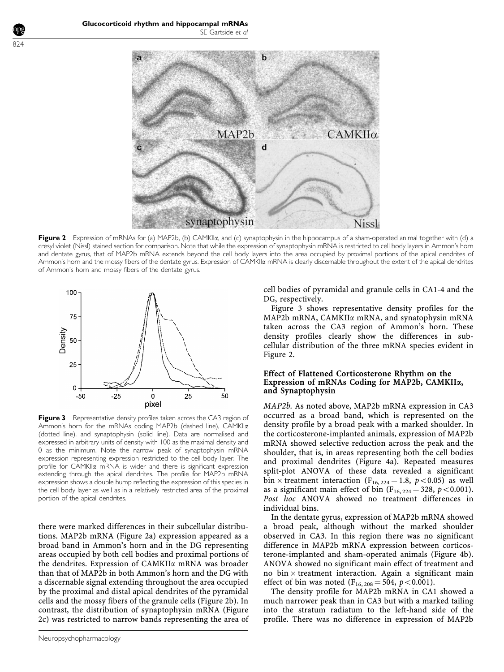

Figure 2 Expression of mRNAs for (a) MAP2b, (b) CAMKIIa, and (c) synaptophysin in the hippocampus of a sham-operated animal together with (d) a cresyl violet (Nissl) stained section for comparison. Note that while the expression of synaptophysin mRNA is restricted to cell body layers in Ammon's horn and dentate gyrus, that of MAP2b mRNA extends beyond the cell body layers into the area occupied by proximal portions of the apical dendrites of Ammon's horn and the mossy fibers of the dentate gyrus. Expression of CAMKIIa mRNA is clearly discernable throughout the extent of the apical dendrites of Ammon's horn and mossy fibers of the dentate gyrus.



Figure 3 Representative density profiles taken across the CA3 region of Ammon's horn for the mRNAs coding MAP2b (dashed line), CAMKIIa (dotted line), and synaptophysin (solid line). Data are normalised and expressed in arbitrary units of density with 100 as the maximal density and 0 as the minimum. Note the narrow peak of synaptophysin mRNA expression representing expression restricted to the cell body layer. The profile for CAMKIIa mRNA is wider and there is significant expression extending through the apical dendrites. The profile for MAP2b mRNA expression shows a double hump reflecting the expression of this species in the cell body layer as well as in a relatively restricted area of the proximal portion of the apical dendrites.

there were marked differences in their subcellular distributions. MAP2b mRNA (Figure 2a) expression appeared as a broad band in Ammon's horn and in the DG representing areas occupied by both cell bodies and proximal portions of the dendrites. Expression of CAMKIIa mRNA was broader than that of MAP2b in both Ammon's horn and the DG with a discernable signal extending throughout the area occupied by the proximal and distal apical dendrites of the pyramidal cells and the mossy fibers of the granule cells (Figure 2b). In contrast, the distribution of synaptophysin mRNA (Figure 2c) was restricted to narrow bands representing the area of cell bodies of pyramidal and granule cells in CA1-4 and the DG, respectively.

Figure 3 shows representative density profiles for the MAP2b mRNA, CAMKIIa mRNA, and synatophysin mRNA taken across the CA3 region of Ammon's horn. These density profiles clearly show the differences in subcellular distribution of the three mRNA species evident in Figure 2.

# Effect of Flattened Corticosterone Rhythm on the Expression of mRNAs Coding for MAP2b, CAMKIIa, and Synaptophysin

MAP2b. As noted above, MAP2b mRNA expression in CA3 occurred as a broad band, which is represented on the density profile by a broad peak with a marked shoulder. In the corticosterone-implanted animals, expression of MAP2b mRNA showed selective reduction across the peak and the shoulder, that is, in areas representing both the cell bodies and proximal dendrites (Figure 4a). Repeated measures split-plot ANOVA of these data revealed a significant bin  $\times$  treatment interaction (F<sub>16, 224</sub> = 1.8, p < 0.05) as well as a significant main effect of bin ( $F_{16, 224} = 328$ ,  $p < 0.001$ ). Post hoc ANOVA showed no treatment differences in individual bins.

In the dentate gyrus, expression of MAP2b mRNA showed a broad peak, although without the marked shoulder observed in CA3. In this region there was no significant difference in MAP2b mRNA expression between corticosterone-implanted and sham-operated animals (Figure 4b). ANOVA showed no significant main effect of treatment and no bin  $\times$  treatment interaction. Again a significant main effect of bin was noted ( $F_{16, 208} = 504$ ,  $p < 0.001$ ).

The density profile for MAP2b mRNA in CA1 showed a much narrower peak than in CA3 but with a marked tailing into the stratum radiatum to the left-hand side of the profile. There was no difference in expression of MAP2b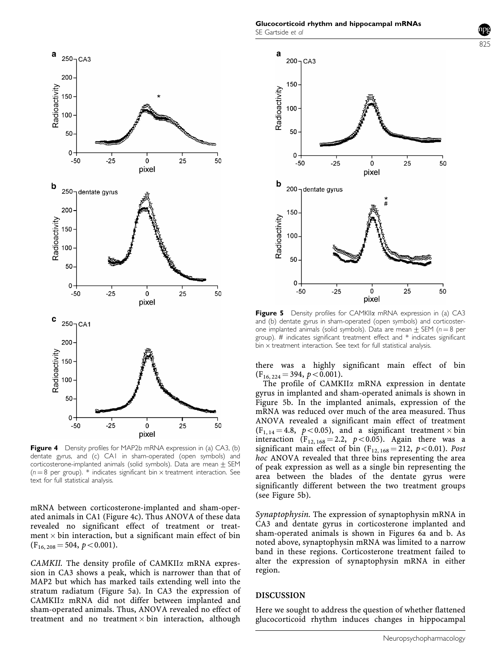

Figure 4 Density profiles for MAP2b mRNA expression in (a) CA3, (b) dentate gyrus, and (c) CA1 in sham-operated (open symbols) and corticosterone-implanted animals (solid symbols). Data are mean  $+$  SEM ( $n = 8$  per group). \* indicates significant bin  $\times$  treatment interaction. See text for full statistical analysis.

mRNA between corticosterone-implanted and sham-operated animals in CA1 (Figure 4c). Thus ANOVA of these data revealed no significant effect of treatment or treatment  $\times$  bin interaction, but a significant main effect of bin  $(F_{16, 208} = 504, p < 0.001).$ 

CAMKII. The density profile of CAMKII $\alpha$  mRNA expression in CA3 shows a peak, which is narrower than that of MAP2 but which has marked tails extending well into the stratum radiatum (Figure 5a). In CA3 the expression of CAMKIIa mRNA did not differ between implanted and sham-operated animals. Thus, ANOVA revealed no effect of treatment and no treatment  $\times$  bin interaction, although



825

**Figure 5** Density profiles for CAMKIIa mRNA expression in (a) CA3 and (b) dentate gyrus in sham-operated (open symbols) and corticosterone implanted animals (solid symbols). Data are mean  $\pm$  SEM (n = 8 per group). # indicates significant treatment effect and \* indicates significant  $bin \times$  treatment interaction. See text for full statistical analysis.

pixel

there was a highly significant main effect of bin  $(F_{16, 224} = 394, p < 0.001).$ 

The profile of CAMKII $\alpha$  mRNA expression in dentate gyrus in implanted and sham-operated animals is shown in Figure 5b. In the implanted animals, expression of the mRNA was reduced over much of the area measured. Thus ANOVA revealed a significant main effect of treatment  $(F_{1, 14} = 4.8, p < 0.05)$ , and a significant treatment  $\times$  bin interaction ( $F_{12, 168} = 2.2$ ,  $p < 0.05$ ). Again there was a significant main effect of bin  $(F_{12, 168} = 212, p < 0.01)$ . Post hoc ANOVA revealed that three bins representing the area of peak expression as well as a single bin representing the area between the blades of the dentate gyrus were significantly different between the two treatment groups (see Figure 5b).

Synaptophysin. The expression of synaptophysin mRNA in CA3 and dentate gyrus in corticosterone implanted and sham-operated animals is shown in Figures 6a and b. As noted above, synaptophysin mRNA was limited to a narrow band in these regions. Corticosterone treatment failed to alter the expression of synaptophysin mRNA in either region.

#### DISCUSSION

Here we sought to address the question of whether flattened glucocorticoid rhythm induces changes in hippocampal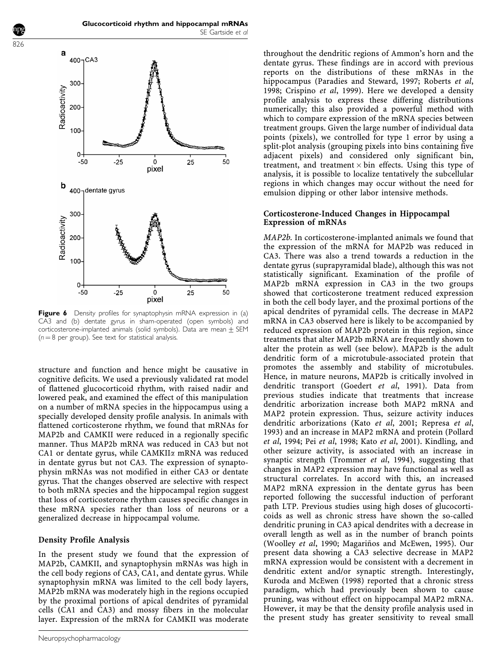

Figure 6 Density profiles for synaptophysin mRNA expression in (a) CA3 and (b) dentate gyrus in sham-operated (open symbols) and corticosterone-implanted animals (solid symbols). Data are mean  $\pm$  SEM  $(n = 8$  per group). See text for statistical analysis.

structure and function and hence might be causative in cognitive deficits. We used a previously validated rat model of flattened glucocorticoid rhythm, with raised nadir and lowered peak, and examined the effect of this manipulation on a number of mRNA species in the hippocampus using a specially developed density profile analysis. In animals with flattened corticosterone rhythm, we found that mRNAs for MAP2b and CAMKII were reduced in a regionally specific manner. Thus MAP2b mRNA was reduced in CA3 but not CA1 or dentate gyrus, while CAMKII $\alpha$  mRNA was reduced in dentate gyrus but not CA3. The expression of synaptophysin mRNAs was not modified in either CA3 or dentate gyrus. That the changes observed are selective with respect to both mRNA species and the hippocampal region suggest that loss of corticosterone rhythm causes specific changes in these mRNA species rather than loss of neurons or a generalized decrease in hippocampal volume.

# Density Profile Analysis

In the present study we found that the expression of MAP2b, CAMKII, and synaptophysin mRNAs was high in the cell body regions of CA3, CA1, and dentate gyrus. While synaptophysin mRNA was limited to the cell body layers, MAP2b mRNA was moderately high in the regions occupied by the proximal portions of apical dendrites of pyramidal cells (CA1 and CA3) and mossy fibers in the molecular layer. Expression of the mRNA for CAMKII was moderate

throughout the dendritic regions of Ammon's horn and the dentate gyrus. These findings are in accord with previous reports on the distributions of these mRNAs in the hippocampus (Paradies and Steward, 1997; Roberts et al, 1998; Crispino et al, 1999). Here we developed a density profile analysis to express these differing distributions numerically; this also provided a powerful method with which to compare expression of the mRNA species between treatment groups. Given the large number of individual data points (pixels), we controlled for type 1 error by using a split-plot analysis (grouping pixels into bins containing five adjacent pixels) and considered only significant bin, treatment, and treatment  $\times$  bin effects. Using this type of analysis, it is possible to localize tentatively the subcellular regions in which changes may occur without the need for emulsion dipping or other labor intensive methods.

#### Corticosterone-Induced Changes in Hippocampal Expression of mRNAs

MAP2b. In corticosterone-implanted animals we found that the expression of the mRNA for MAP2b was reduced in CA3. There was also a trend towards a reduction in the dentate gyrus (suprapyramidal blade), although this was not statistically significant. Examination of the profile of MAP2b mRNA expression in CA3 in the two groups showed that corticosterone treatment reduced expression in both the cell body layer, and the proximal portions of the apical dendrites of pyramidal cells. The decrease in MAP2 mRNA in CA3 observed here is likely to be accompanied by reduced expression of MAP2b protein in this region, since treatments that alter MAP2b mRNA are frequently shown to alter the protein as well (see below). MAP2b is the adult dendritic form of a microtubule-associated protein that promotes the assembly and stability of microtubules. Hence, in mature neurons, MAP2b is critically involved in dendritic transport (Goedert et al, 1991). Data from previous studies indicate that treatments that increase dendritic arborization increase both MAP2 mRNA and MAP2 protein expression. Thus, seizure activity induces dendritic arborizations (Kato et al, 2001; Represa et al, 1993) and an increase in MAP2 mRNA and protein (Pollard et al, 1994; Pei et al, 1998; Kato et al, 2001). Kindling, and other seizure activity, is associated with an increase in synaptic strength (Trommer et al, 1994), suggesting that changes in MAP2 expression may have functional as well as structural correlates. In accord with this, an increased MAP2 mRNA expression in the dentate gyrus has been reported following the successful induction of perforant path LTP. Previous studies using high doses of glucocorticoids as well as chronic stress have shown the so-called dendritic pruning in CA3 apical dendrites with a decrease in overall length as well as in the number of branch points (Woolley et al, 1990; Magariños and McEwen, 1995). Our present data showing a CA3 selective decrease in MAP2 mRNA expression would be consistent with a decrement in dendritic extent and/or synaptic strength. Interestingly, Kuroda and McEwen (1998) reported that a chronic stress paradigm, which had previously been shown to cause pruning, was without effect on hippocampal MAP2 mRNA. However, it may be that the density profile analysis used in the present study has greater sensitivity to reveal small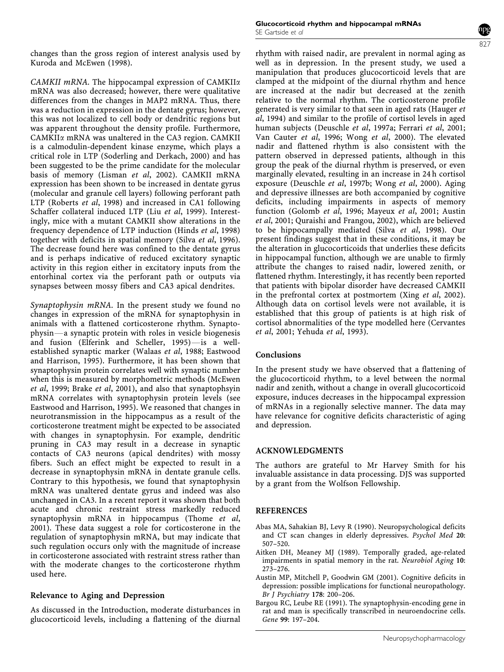changes than the gross region of interest analysis used by Kuroda and McEwen (1998).

CAMKII mRNA. The hippocampal expression of CAMKII $\alpha$ mRNA was also decreased; however, there were qualitative differences from the changes in MAP2 mRNA. Thus, there was a reduction in expression in the dentate gyrus; however, this was not localized to cell body or dendritic regions but was apparent throughout the density profile. Furthermore, CAMKIIa mRNA was unaltered in the CA3 region. CAMKII is a calmodulin-dependent kinase enzyme, which plays a critical role in LTP (Soderling and Derkach, 2000) and has been suggested to be the prime candidate for the molecular basis of memory (Lisman et al, 2002). CAMKII mRNA expression has been shown to be increased in dentate gyrus (molecular and granule cell layers) following perforant path LTP (Roberts et al, 1998) and increased in CA1 following Schaffer collateral induced LTP (Liu et al, 1999). Interestingly, mice with a mutant CAMKII show alterations in the frequency dependence of LTP induction (Hinds et al, 1998) together with deficits in spatial memory (Silva et al, 1996). The decrease found here was confined to the dentate gyrus and is perhaps indicative of reduced excitatory synaptic activity in this region either in excitatory inputs from the entorhinal cortex via the perforant path or outputs via synapses between mossy fibers and CA3 apical dendrites.

Synaptophysin mRNA. In the present study we found no changes in expression of the mRNA for synaptophysin in animals with a flattened corticosterone rhythm. Synaptophysin—a synaptic protein with roles in vesicle biogenesis and fusion (Elferink and Scheller, 1995) $-$ is a wellestablished synaptic marker (Walaas et al, 1988; Eastwood and Harrison, 1995). Furthermore, it has been shown that synaptophysin protein correlates well with synaptic number when this is measured by morphometric methods (McEwen et al, 1999; Brake et al, 2001), and also that synaptophsyin mRNA correlates with synaptophysin protein levels (see Eastwood and Harrison, 1995). We reasoned that changes in neurotransmission in the hippocampus as a result of the corticosterone treatment might be expected to be associated with changes in synaptophysin. For example, dendritic pruning in CA3 may result in a decrease in synaptic contacts of CA3 neurons (apical dendrites) with mossy fibers. Such an effect might be expected to result in a decrease in synaptophysin mRNA in dentate granule cells. Contrary to this hypothesis, we found that synaptophysin mRNA was unaltered dentate gyrus and indeed was also unchanged in CA3. In a recent report it was shown that both acute and chronic restraint stress markedly reduced synaptophysin mRNA in hippocampus (Thome et al, 2001). These data suggest a role for corticosterone in the regulation of synaptophysin mRNA, but may indicate that such regulation occurs only with the magnitude of increase in corticosterone associated with restraint stress rather than with the moderate changes to the corticosterone rhythm used here.

# Relevance to Aging and Depression

As discussed in the Introduction, moderate disturbances in glucocorticoid levels, including a flattening of the diurnal



rhythm with raised nadir, are prevalent in normal aging as well as in depression. In the present study, we used a manipulation that produces glucocorticoid levels that are clamped at the midpoint of the diurnal rhythm and hence are increased at the nadir but decreased at the zenith relative to the normal rhythm. The corticosterone profile generated is very similar to that seen in aged rats (Hauger et al, 1994) and similar to the profile of cortisol levels in aged human subjects (Deuschle et al, 1997a; Ferrari et al, 2001; Van Cauter et al, 1996; Wong et al, 2000). The elevated nadir and flattened rhythm is also consistent with the pattern observed in depressed patients, although in this group the peak of the diurnal rhythm is preserved, or even marginally elevated, resulting in an increase in 24 h cortisol exposure (Deuschle et al, 1997b; Wong et al, 2000). Aging and depressive illnesses are both accompanied by cognitive deficits, including impairments in aspects of memory function (Golomb et al, 1996; Mayeux et al, 2001; Austin et al, 2001; Quraishi and Frangou, 2002), which are believed to be hippocampally mediated (Silva et al, 1998). Our present findings suggest that in these conditions, it may be the alteration in glucocorticoids that underlies these deficits in hippocampal function, although we are unable to firmly attribute the changes to raised nadir, lowered zenith, or flattened rhythm. Interestingly, it has recently been reported that patients with bipolar disorder have decreased CAMKII in the prefrontal cortex at postmortem (Xing et al, 2002). Although data on cortisol levels were not available, it is established that this group of patients is at high risk of cortisol abnormalities of the type modelled here (Cervantes et al, 2001; Yehuda et al, 1993).

# Conclusions

In the present study we have observed that a flattening of the glucocorticoid rhythm, to a level between the normal nadir and zenith, without a change in overall glucocorticoid exposure, induces decreases in the hippocampal expression of mRNAs in a regionally selective manner. The data may have relevance for cognitive deficits characteristic of aging and depression.

# ACKNOWLEDGMENTS

The authors are grateful to Mr Harvey Smith for his invaluable assistance in data processing. DJS was supported by a grant from the Wolfson Fellowship.

# REFERENCES

- Abas MA, Sahakian BJ, Levy R (1990). Neuropsychological deficits and CT scan changes in elderly depressives. Psychol Med 20: 507–520.
- Aitken DH, Meaney MJ (1989). Temporally graded, age-related impairments in spatial memory in the rat. Neurobiol Aging 10: 273–276.
- Austin MP, Mitchell P, Goodwin GM (2001). Cognitive deficits in depression: possible implications for functional neuropathology. Br J Psychiatry 178: 200–206.
- Bargou RC, Leube RE (1991). The synaptophysin-encoding gene in rat and man is specifically transcribed in neuroendocrine cells. Gene 99: 197–204.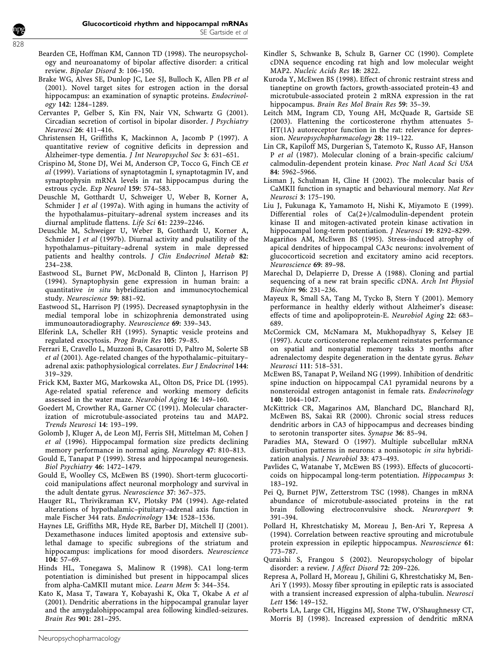- Bearden CE, Hoffman KM, Cannon TD (1998). The neuropsychology and neuroanatomy of bipolar affective disorder: a critical review. Bipolar Disord 3: 106–150.
- Brake WG, Alves SE, Dunlop JC, Lee SJ, Bulloch K, Allen PB et al (2001). Novel target sites for estrogen action in the dorsal hippocampus: an examination of synaptic proteins. Endocrinology 142: 1284–1289.
- Cervantes P, Gelber S, Kin FN, Nair VN, Schwartz G (2001). Circadian secretion of cortisol in bipolar disorder. J Psychiatry Neurosci 26: 411–416.
- Christensen H, Griffiths K, Mackinnon A, Jacomb P (1997). A quantitative review of cognitive deficits in depression and Alzheimer-type dementia. J Int Neuropsychol Soc 3: 631–651.
- Crispino M, Stone DJ, Wei M, Anderson CP, Tocco G, Finch CE et al (1999). Variations of synaptotagmin I, synaptotagmin IV, and synaptophysin mRNA levels in rat hippocampus during the estrous cycle. Exp Neurol 159: 574–583.
- Deuschle M, Gotthardt U, Schweiger U, Weber B, Korner A, Schmider J et al (1997a). With aging in humans the activity of the hypothalamus–pituitary–adrenal system increases and its diurnal amplitude flattens. Life Sci 61: 2239–2246.
- Deuschle M, Schweiger U, Weber B, Gotthardt U, Korner A, Schmider J et al (1997b). Diurnal activity and pulsatility of the hypothalamus–pituitary–adrenal system in male depressed patients and healthy controls. J Clin Endocrinol Metab 82: 234–238.
- Eastwood SL, Burnet PW, McDonald B, Clinton J, Harrison PJ (1994). Synaptophysin gene expression in human brain: a quantitative in situ hybridization and immunocytochemical study. Neuroscience 59: 881–92.
- Eastwood SL, Harrison PJ (1995). Decreased synaptophysin in the medial temporal lobe in schizophrenia demonstrated using immunoautoradiography. Neuroscience 69: 339–343.
- Elferink LA, Scheller RH (1995). Synaptic vesicle proteins and regulated exocytosis. Prog Brain Res 105: 79–85.
- Ferrari E, Cravello L, Muzzoni B, Casarotti D, Paltro M, Solerte SB et al (2001). Age-related changes of the hypothalamic–pituitary– adrenal axis: pathophysiological correlates. Eur J Endocrinol 144: 319–329.
- Frick KM, Baxter MG, Markowska AL, Olton DS, Price DL (1995). Age-related spatial reference and working memory deficits assessed in the water maze. Neurobiol Aging 16: 149–160.
- Goedert M, Crowther RA, Garner CC (1991). Molecular characterization of microtubule-associated proteins tau and MAP2. Trends Neurosci 14: 193–199.
- Golomb J, Kluger A, de Leon MJ, Ferris SH, Mittelman M, Cohen J et al (1996). Hippocampal formation size predicts declining memory performance in normal aging. Neurology 47: 810–813.
- Gould E, Tanapat P (1999). Stress and hippocampal neurogenesis. Biol Psychiatry 46: 1472–1479.
- Gould E, Woolley CS, McEwen BS (1990). Short-term glucocorticoid manipulations affect neuronal morphology and survival in the adult dentate gyrus. Neuroscience 37: 367–375.
- Hauger RL, Thrivikraman KV, Plotsky PM (1994). Age-related alterations of hypothalamic–pituitary–adrenal axis function in male Fischer 344 rats. Endocrinology 134: 1528–1536.
- Haynes LE, Griffiths MR, Hyde RE, Barber DJ, Mitchell IJ (2001). Dexamethasone induces limited apoptosis and extensive sublethal damage to specific subregions of the striatum and hippocampus: implications for mood disorders. Neuroscience 104: 57–69.
- Hinds HL, Tonegawa S, Malinow R (1998). CA1 long-term potentiation is diminished but present in hippocampal slices from alpha-CaMKII mutant mice. Learn Mem 5: 344–354.
- Kato K, Masa T, Tawara Y, Kobayashi K, Oka T, Okabe A et al (2001). Dendritic aberrations in the hippocampal granular layer and the amygdalohippocampal area following kindled-seizures. Brain Res 901: 281–295.
- Kindler S, Schwanke B, Schulz B, Garner CC (1990). Complete cDNA sequence encoding rat high and low molecular weight MAP2. Nucleic Acids Res 18: 2822.
- Kuroda Y, McEwen BS (1998). Effect of chronic restraint stress and tianeptine on growth factors, growth-associated protein-43 and microtubule-associated protein 2 mRNA expression in the rat hippocampus. Brain Res Mol Brain Res 59: 35–39.
- Leitch MM, Ingram CD, Young AH, McQuade R, Gartside SE (2003). Flattening the corticosterone rhythm attenuates 5- HT(1A) autoreceptor function in the rat: relevance for depression. Neuropsychopharmacology 28: 119–122.
- Lin CR, Kapiloff MS, Durgerian S, Tatemoto K, Russo AF, Hanson P et al (1987). Molecular cloning of a brain-specific calcium/ calmodulin-dependent protein kinase. Proc Natl Acad Sci USA 84: 5962–5966.
- Lisman J, Schulman H, Cline H (2002). The molecular basis of CaMKII function in synaptic and behavioural memory. Nat Rev Neurosci 3: 175–190.
- Liu J, Fukunaga K, Yamamoto H, Nishi K, Miyamoto E (1999). Differential roles of Ca(2+)/calmodulin-dependent protein kinase II and mitogen-activated protein kinase activation in hippocampal long-term potentiation. *J Neurosci* 19: 8292-8299.
- Magariños AM, McEwen BS (1995). Stress-induced atrophy of apical dendrites of hippocampal CA3c neurons: involvement of glucocorticoid secretion and excitatory amino acid receptors. Neuroscience 69: 89–98.
- Marechal D, Delapierre D, Dresse A (1988). Cloning and partial sequencing of a new rat brain specific cDNA. Arch Int Physiol Biochim 96: 231–236.
- Mayeux R, Small SA, Tang M, Tycko B, Stern Y (2001). Memory performance in healthy elderly without Alzheimer's disease: effects of time and apolipoprotein-E. Neurobiol Aging 22: 683– 689.
- McCormick CM, McNamara M, Mukhopadhyay S, Kelsey JE (1997). Acute corticosterone replacement reinstates performance on spatial and nonspatial memory tasks 3 months after adrenalectomy despite degeneration in the dentate gyrus. Behav Neurosci 111: 518–531.
- McEwen BS, Tanapat P, Weiland NG (1999). Inhibition of dendritic spine induction on hippocampal CA1 pyramidal neurons by a nonsteroidal estrogen antagonist in female rats. Endocrinology 140: 1044–1047.
- McKittrick CR, Magarinos AM, Blanchard DC, Blanchard RJ, McEwen BS, Sakai RR (2000). Chronic social stress reduces dendritic arbors in CA3 of hippocampus and decreases binding to serotonin transporter sites. Synapse 36: 85–94.
- Paradies MA, Steward O (1997). Multiple subcellular mRNA distribution patterns in neurons: a nonisotopic in situ hybridization analysis. J Neurobiol 33: 473–493.
- Pavlides C, Watanabe Y, McEwen BS (1993). Effects of glucocorticoids on hippocampal long-term potentiation. Hippocampus 3: 183–192.
- Pei Q, Burnet PJW, Zetterstrom TSC (1998). Changes in mRNA abundance of microtubule-associated proteins in the rat brain following electroconvulsive shock. Neuroreport 9: 391–394.
- Pollard H, Khrestchatisky M, Moreau J, Ben-Ari Y, Represa A (1994). Correlation between reactive sprouting and microtubule protein expression in epileptic hippocampus. Neuroscience 61: 773–787.
- Quraishi S, Frangou S (2002). Neuropsychology of bipolar disorder: a review. J Affect Disord 72: 209-226.
- Represa A, Pollard H, Moreau J, Ghilini G, Khrestchatisky M, Ben-Ari Y (1993). Mossy fiber sprouting in epileptic rats is associated with a transient increased expression of alpha-tubulin. Neurosci Lett 156: 149–152.
- Roberts LA, Large CH, Higgins MJ, Stone TW, O'Shaughnessy CT, Morris BJ (1998). Increased expression of dendritic mRNA